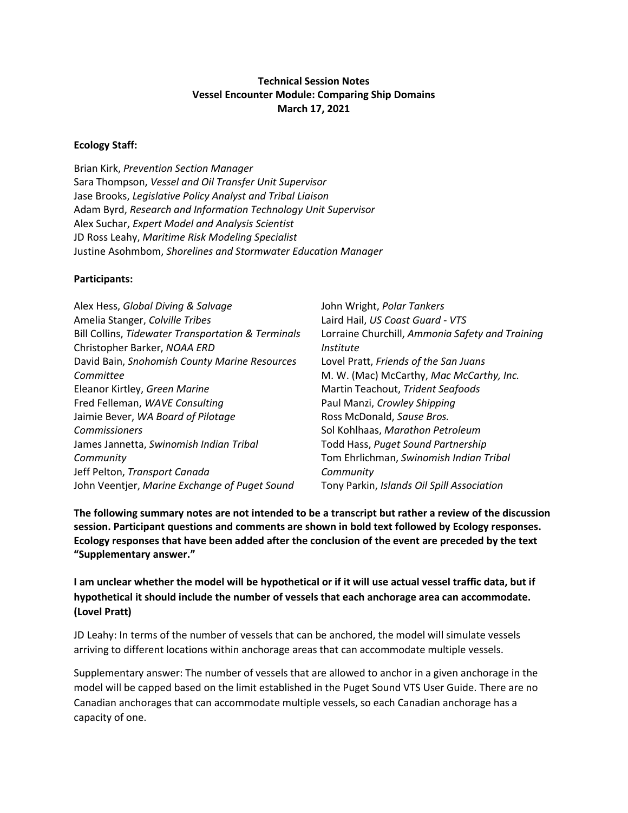### **Technical Session Notes Vessel Encounter Module: Comparing Ship Domains March 17, 2021**

### **Ecology Staff:**

Brian Kirk, *Prevention Section Manager* Sara Thompson, *Vessel and Oil Transfer Unit Supervisor* Jase Brooks, *Legislative Policy Analyst and Tribal Liaison* Adam Byrd, *Research and Information Technology Unit Supervisor* Alex Suchar, *Expert Model and Analysis Scientist* JD Ross Leahy, *Maritime Risk Modeling Specialist* Justine Asohmbom, *Shorelines and Stormwater Education Manager*

#### **Participants:**

| Alex Hess, Global Diving & Salvage                 | John Wright, Polar Tankers                      |
|----------------------------------------------------|-------------------------------------------------|
| Amelia Stanger, Colville Tribes                    | Laird Hail, US Coast Guard - VTS                |
| Bill Collins, Tidewater Transportation & Terminals | Lorraine Churchill, Ammonia Safety and Training |
| Christopher Barker, NOAA ERD                       | <i>Institute</i>                                |
| David Bain, Snohomish County Marine Resources      | Lovel Pratt, Friends of the San Juans           |
| Committee                                          | M. W. (Mac) McCarthy, Mac McCarthy, Inc.        |
| Eleanor Kirtley, Green Marine                      | Martin Teachout, Trident Seafoods               |
| Fred Felleman, WAVE Consulting                     | Paul Manzi, Crowley Shipping                    |
| Jaimie Bever, WA Board of Pilotage                 | Ross McDonald, Sause Bros.                      |
| Commissioners                                      | Sol Kohlhaas, Marathon Petroleum                |
| James Jannetta, Swinomish Indian Tribal            | Todd Hass, Puget Sound Partnership              |
| Community                                          | Tom Ehrlichman, Swinomish Indian Tribal         |
| Jeff Pelton, Transport Canada                      | Community                                       |
| John Veentjer, Marine Exchange of Puget Sound      | Tony Parkin, Islands Oil Spill Association      |

**The following summary notes are not intended to be a transcript but rather a review of the discussion session. Participant questions and comments are shown in bold text followed by Ecology responses. Ecology responses that have been added after the conclusion of the event are preceded by the text "Supplementary answer."**

**I am unclear whether the model will be hypothetical or if it will use actual vessel traffic data, but if hypothetical it should include the number of vessels that each anchorage area can accommodate. (Lovel Pratt)**

JD Leahy: In terms of the number of vessels that can be anchored, the model will simulate vessels arriving to different locations within anchorage areas that can accommodate multiple vessels.

Supplementary answer: The number of vessels that are allowed to anchor in a given anchorage in the model will be capped based on the limit established in the Puget Sound VTS User Guide. There are no Canadian anchorages that can accommodate multiple vessels, so each Canadian anchorage has a capacity of one.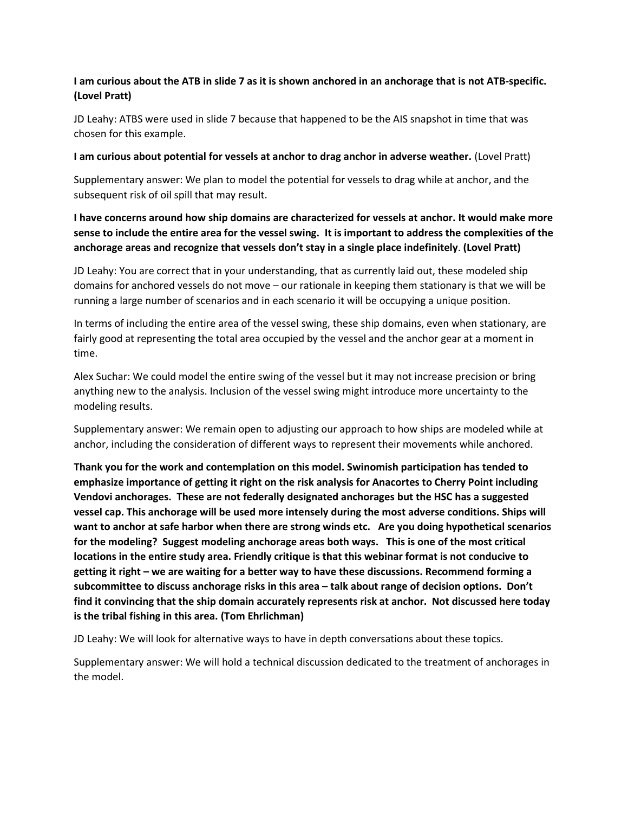### **I am curious about the ATB in slide 7 as it is shown anchored in an anchorage that is not ATB-specific. (Lovel Pratt)**

JD Leahy: ATBS were used in slide 7 because that happened to be the AIS snapshot in time that was chosen for this example.

#### **I am curious about potential for vessels at anchor to drag anchor in adverse weather.** (Lovel Pratt)

Supplementary answer: We plan to model the potential for vessels to drag while at anchor, and the subsequent risk of oil spill that may result.

**I have concerns around how ship domains are characterized for vessels at anchor. It would make more sense to include the entire area for the vessel swing. It is important to address the complexities of the anchorage areas and recognize that vessels don't stay in a single place indefinitely**. **(Lovel Pratt)**

JD Leahy: You are correct that in your understanding, that as currently laid out, these modeled ship domains for anchored vessels do not move – our rationale in keeping them stationary is that we will be running a large number of scenarios and in each scenario it will be occupying a unique position.

In terms of including the entire area of the vessel swing, these ship domains, even when stationary, are fairly good at representing the total area occupied by the vessel and the anchor gear at a moment in time.

Alex Suchar: We could model the entire swing of the vessel but it may not increase precision or bring anything new to the analysis. Inclusion of the vessel swing might introduce more uncertainty to the modeling results.

Supplementary answer: We remain open to adjusting our approach to how ships are modeled while at anchor, including the consideration of different ways to represent their movements while anchored.

**Thank you for the work and contemplation on this model. Swinomish participation has tended to emphasize importance of getting it right on the risk analysis for Anacortes to Cherry Point including Vendovi anchorages. These are not federally designated anchorages but the HSC has a suggested vessel cap. This anchorage will be used more intensely during the most adverse conditions. Ships will want to anchor at safe harbor when there are strong winds etc. Are you doing hypothetical scenarios for the modeling? Suggest modeling anchorage areas both ways. This is one of the most critical locations in the entire study area. Friendly critique is that this webinar format is not conducive to getting it right – we are waiting for a better way to have these discussions. Recommend forming a subcommittee to discuss anchorage risks in this area – talk about range of decision options. Don't find it convincing that the ship domain accurately represents risk at anchor. Not discussed here today is the tribal fishing in this area. (Tom Ehrlichman)**

JD Leahy: We will look for alternative ways to have in depth conversations about these topics.

Supplementary answer: We will hold a technical discussion dedicated to the treatment of anchorages in the model.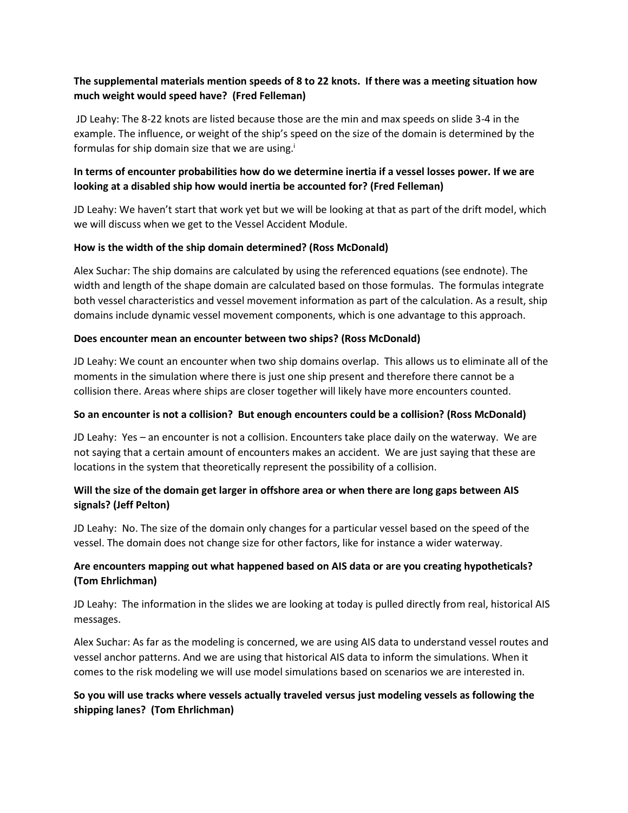# **The supplemental materials mention speeds of 8 to 22 knots. If there was a meeting situation how much weight would speed have? (Fred Felleman)**

JD Leahy: The 8-22 knots are listed because those are the min and max speeds on slide 3-4 in the example. The influence, or weight of the ship's speed on the size of the domain is determined by the formulas for ship domain size that we are using.<sup> $\mathbf{i}$ </sup>

# **In terms of encounter probabilities how do we determine inertia if a vessel losses power. If we are looking at a disabled ship how would inertia be accounted for? (Fred Felleman)**

JD Leahy: We haven't start that work yet but we will be looking at that as part of the drift model, which we will discuss when we get to the Vessel Accident Module.

### **How is the width of the ship domain determined? (Ross McDonald)**

Alex Suchar: The ship domains are calculated by using the referenced equations (see endnote). The width and length of the shape domain are calculated based on those formulas. The formulas integrate both vessel characteristics and vessel movement information as part of the calculation. As a result, ship domains include dynamic vessel movement components, which is one advantage to this approach.

### **Does encounter mean an encounter between two ships? (Ross McDonald)**

JD Leahy: We count an encounter when two ship domains overlap. This allows us to eliminate all of the moments in the simulation where there is just one ship present and therefore there cannot be a collision there. Areas where ships are closer together will likely have more encounters counted.

### **So an encounter is not a collision? But enough encounters could be a collision? (Ross McDonald)**

JD Leahy: Yes – an encounter is not a collision. Encounters take place daily on the waterway. We are not saying that a certain amount of encounters makes an accident. We are just saying that these are locations in the system that theoretically represent the possibility of a collision.

### **Will the size of the domain get larger in offshore area or when there are long gaps between AIS signals? (Jeff Pelton)**

JD Leahy: No. The size of the domain only changes for a particular vessel based on the speed of the vessel. The domain does not change size for other factors, like for instance a wider waterway.

### **Are encounters mapping out what happened based on AIS data or are you creating hypotheticals? (Tom Ehrlichman)**

JD Leahy: The information in the slides we are looking at today is pulled directly from real, historical AIS messages.

Alex Suchar: As far as the modeling is concerned, we are using AIS data to understand vessel routes and vessel anchor patterns. And we are using that historical AIS data to inform the simulations. When it comes to the risk modeling we will use model simulations based on scenarios we are interested in.

# **So you will use tracks where vessels actually traveled versus just modeling vessels as following the shipping lanes? (Tom Ehrlichman)**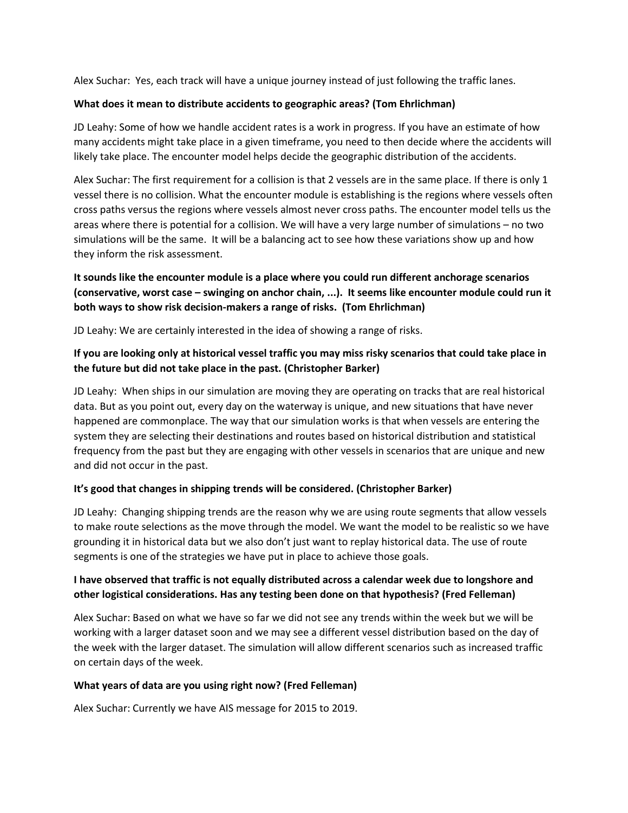Alex Suchar: Yes, each track will have a unique journey instead of just following the traffic lanes.

### **What does it mean to distribute accidents to geographic areas? (Tom Ehrlichman)**

JD Leahy: Some of how we handle accident rates is a work in progress. If you have an estimate of how many accidents might take place in a given timeframe, you need to then decide where the accidents will likely take place. The encounter model helps decide the geographic distribution of the accidents.

Alex Suchar: The first requirement for a collision is that 2 vessels are in the same place. If there is only 1 vessel there is no collision. What the encounter module is establishing is the regions where vessels often cross paths versus the regions where vessels almost never cross paths. The encounter model tells us the areas where there is potential for a collision. We will have a very large number of simulations – no two simulations will be the same. It will be a balancing act to see how these variations show up and how they inform the risk assessment.

# **It sounds like the encounter module is a place where you could run different anchorage scenarios (conservative, worst case – swinging on anchor chain, ...). It seems like encounter module could run it both ways to show risk decision-makers a range of risks. (Tom Ehrlichman)**

JD Leahy: We are certainly interested in the idea of showing a range of risks.

# **If you are looking only at historical vessel traffic you may miss risky scenarios that could take place in the future but did not take place in the past. (Christopher Barker)**

JD Leahy: When ships in our simulation are moving they are operating on tracks that are real historical data. But as you point out, every day on the waterway is unique, and new situations that have never happened are commonplace. The way that our simulation works is that when vessels are entering the system they are selecting their destinations and routes based on historical distribution and statistical frequency from the past but they are engaging with other vessels in scenarios that are unique and new and did not occur in the past.

### **It's good that changes in shipping trends will be considered. (Christopher Barker)**

JD Leahy: Changing shipping trends are the reason why we are using route segments that allow vessels to make route selections as the move through the model. We want the model to be realistic so we have grounding it in historical data but we also don't just want to replay historical data. The use of route segments is one of the strategies we have put in place to achieve those goals.

### **I have observed that traffic is not equally distributed across a calendar week due to longshore and other logistical considerations. Has any testing been done on that hypothesis? (Fred Felleman)**

Alex Suchar: Based on what we have so far we did not see any trends within the week but we will be working with a larger dataset soon and we may see a different vessel distribution based on the day of the week with the larger dataset. The simulation will allow different scenarios such as increased traffic on certain days of the week.

### **What years of data are you using right now? (Fred Felleman)**

Alex Suchar: Currently we have AIS message for 2015 to 2019.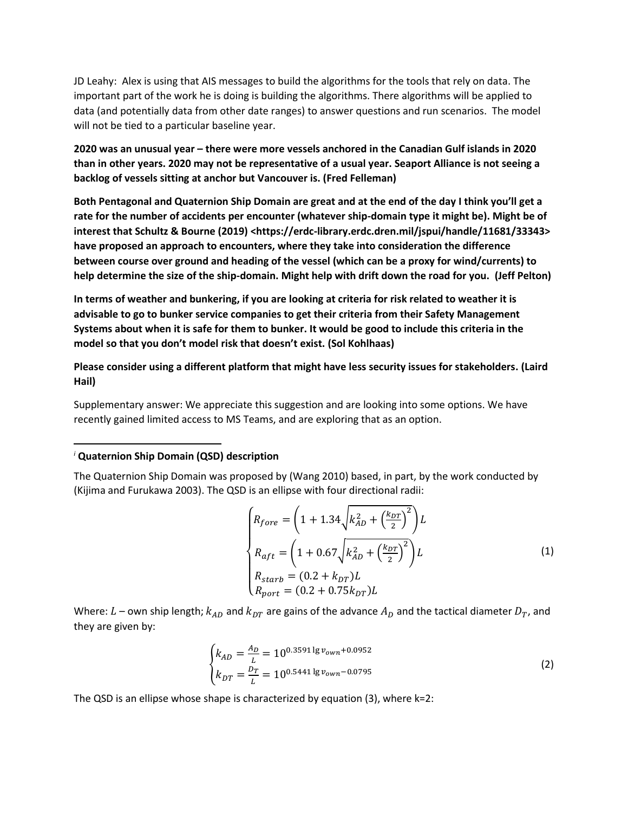JD Leahy: Alex is using that AIS messages to build the algorithms for the tools that rely on data. The important part of the work he is doing is building the algorithms. There algorithms will be applied to data (and potentially data from other date ranges) to answer questions and run scenarios. The model will not be tied to a particular baseline year.

**2020 was an unusual year – there were more vessels anchored in the Canadian Gulf islands in 2020 than in other years. 2020 may not be representative of a usual year. Seaport Alliance is not seeing a backlog of vessels sitting at anchor but Vancouver is. (Fred Felleman)**

**Both Pentagonal and Quaternion Ship Domain are great and at the end of the day I think you'll get a rate for the number of accidents per encounter (whatever ship-domain type it might be). Might be of interest that Schultz & Bourne (2019) <https://erdc-library.erdc.dren.mil/jspui/handle/11681/33343> have proposed an approach to encounters, where they take into consideration the difference between course over ground and heading of the vessel (which can be a proxy for wind/currents) to help determine the size of the ship-domain. Might help with drift down the road for you. (Jeff Pelton)**

**In terms of weather and bunkering, if you are looking at criteria for risk related to weather it is advisable to go to bunker service companies to get their criteria from their Safety Management Systems about when it is safe for them to bunker. It would be good to include this criteria in the model so that you don't model risk that doesn't exist. (Sol Kohlhaas)**

**Please consider using a different platform that might have less security issues for stakeholders. (Laird Hail)**

Supplementary answer: We appreciate this suggestion and are looking into some options. We have recently gained limited access to MS Teams, and are exploring that as an option.

### *<sup>i</sup>* **Quaternion Ship Domain (QSD) description**

 $\overline{\phantom{a}}$ 

The Quaternion Ship Domain was proposed by (Wang 2010) based, in part, by the work conducted by (Kijima and Furukawa 2003). The QSD is an ellipse with four directional radii:

$$
\begin{cases}\nR_{fore} = \left(1 + 1.34\sqrt{k_{AD}^2 + \left(\frac{k_{DT}}{2}\right)^2}\right)L \\
R_{aft} = \left(1 + 0.67\sqrt{k_{AD}^2 + \left(\frac{k_{DT}}{2}\right)^2}\right)L \\
R_{starb} = (0.2 + k_{DT})L \\
R_{port} = (0.2 + 0.75k_{DT})L\n\end{cases}
$$
\n(1)

Where: L – own ship length;  $k_{AD}$  and  $k_{DT}$  are gains of the advance  $A_D$  and the tactical diameter  $D_T$ , and they are given by:

$$
\begin{cases}\nk_{AD} = \frac{A_D}{L} = 10^{0.3591 \lg v_{own} + 0.0952} \\
k_{DT} = \frac{D_T}{L} = 10^{0.5441 \lg v_{own} - 0.0795}\n\end{cases}
$$
\n(2)

The QSD is an ellipse whose shape is characterized by equation (3), where k=2: